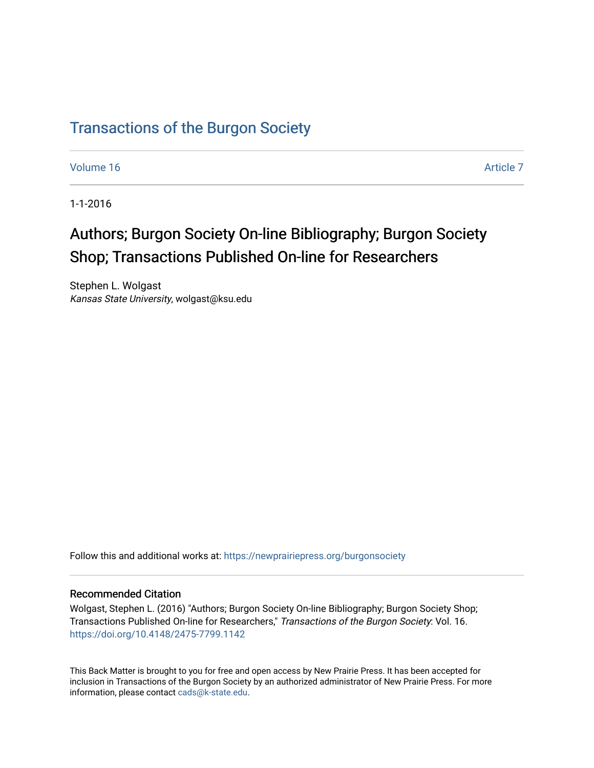## [Transactions of the Burgon Society](https://newprairiepress.org/burgonsociety)

[Volume 16](https://newprairiepress.org/burgonsociety/vol16) Article 7

1-1-2016

# Authors; Burgon Society On-line Bibliography; Burgon Society Shop; Transactions Published On-line for Researchers

Stephen L. Wolgast Kansas State University, wolgast@ksu.edu

Follow this and additional works at: [https://newprairiepress.org/burgonsociety](https://newprairiepress.org/burgonsociety?utm_source=newprairiepress.org%2Fburgonsociety%2Fvol16%2Fiss1%2F7&utm_medium=PDF&utm_campaign=PDFCoverPages)

#### Recommended Citation

Wolgast, Stephen L. (2016) "Authors; Burgon Society On-line Bibliography; Burgon Society Shop; Transactions Published On-line for Researchers," Transactions of the Burgon Society: Vol. 16. [https://doi.org/10.4148/2475-7799.1142](https://dx.doi.org/10.4148/2475-7799.1142) 

This Back Matter is brought to you for free and open access by New Prairie Press. It has been accepted for inclusion in Transactions of the Burgon Society by an authorized administrator of New Prairie Press. For more information, please contact [cads@k-state.edu](mailto:cads@k-state.edu).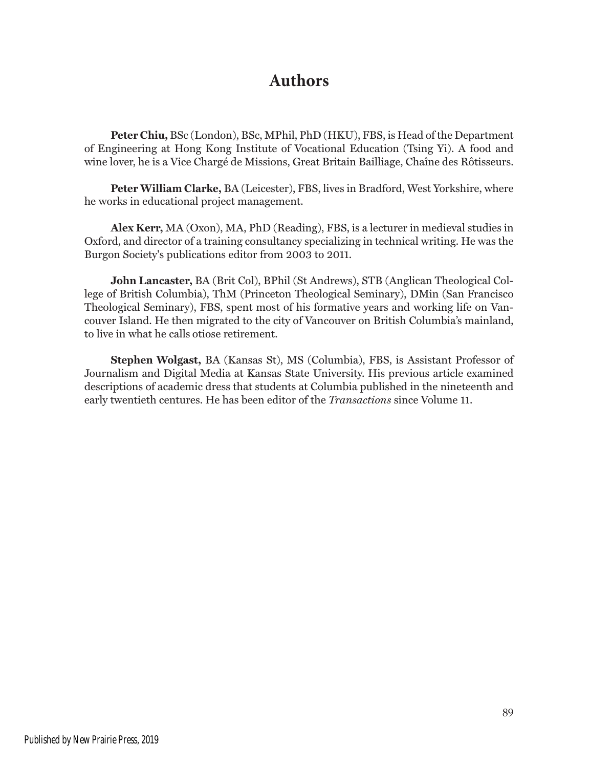### **Authors**

**Peter Chiu,** BSc (London), BSc, MPhil, PhD (HKU), FBS, is Head of the Department of Engineering at Hong Kong Institute of Vocational Education (Tsing Yi). A food and wine lover, he is a Vice Chargé de Missions, Great Britain Bailliage, Chaîne des Rôtisseurs.

**Peter William Clarke,** BA (Leicester), FBS, lives in Bradford, West Yorkshire, where he works in educational project management.

**Alex Kerr,** MA (Oxon), MA, PhD (Reading), FBS, is a lecturer in medieval studies in Oxford, and director of a training consultancy specializing in technical writing. He was the Burgon Society's publications editor from 2003 to 2011.

**John Lancaster,** BA (Brit Col), BPhil (St Andrews), STB (Anglican Theological College of British Columbia), ThM (Princeton Theological Seminary), DMin (San Francisco Theological Seminary), FBS, spent most of his formative years and working life on Vancouver Island. He then migrated to the city of Vancouver on British Columbia's mainland, to live in what he calls otiose retirement.

**Stephen Wolgast,** BA (Kansas St), MS (Columbia), FBS, is Assistant Professor of Journalism and Digital Media at Kansas State University. His previous article examined descriptions of academic dress that students at Columbia published in the nineteenth and early twentieth centures. He has been editor of the *Transactions* since Volume 11.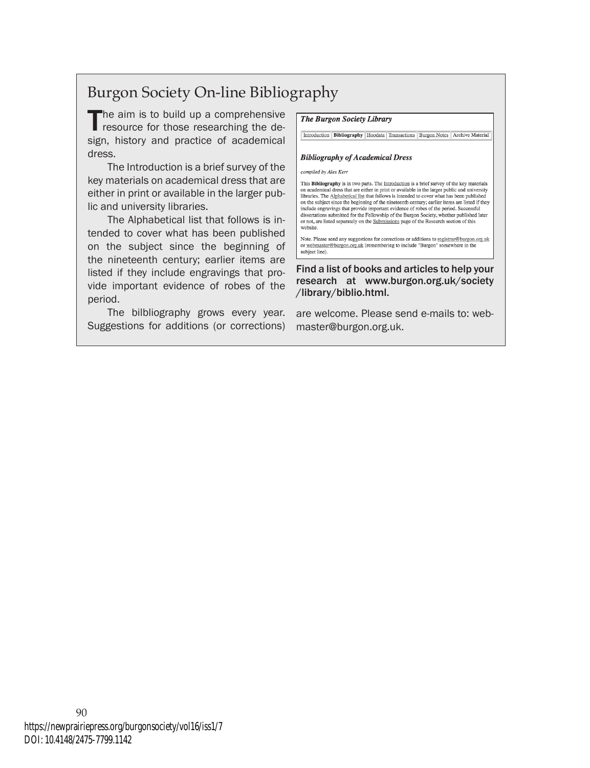## Burgon Society On-line Bibliography

The aim is to build up a comprehensive<br>resource for those researching the de-<br>resource bistory and averating of academical sign, history and practice of academical dress.

The Introduction is a brief survey of the key materials on academical dress that are either in print or available in the larger public and university libraries.

The Alphabetical list that follows is intended to cover what has been published on the subject since the beginning of the nineteenth century; earlier items are listed if they include engravings that provide important evidence of robes of the period.

The bilbliography grows every year. Suggestions for additions (or corrections) **The Burgon Society Library** 

Introduction | Bibliography | Hoodata | Transactions | Burgon Notes | Archive Material

#### **Bibliography of Academical Dress**

compiled by Alex Kerr

This Bibliography is in two parts. The Introduction is a brief survey of the key materials on academical dress that are either in print or available in the larger public and university libraries. The Alphabetical list that follows is intended to cover what has been published on the subject since the beginning of the nineteenth century; earlier items are listed if they<br>include engravings that provide important evidence of robes of the period. Successful dissertations submitted for the Fellowship of the Burgon Society, whether published later<br>or not, are listed separately on the <u>Submissions</u> page of the Research section of this website

Note. Please send any suggestions for corrections or additions to registrar@burgon.org.uk or webmaster@burgon.org.uk (remembering to include "Burgon" somewhere in the subject line).

Find a list of books and articles to help your research at www.burgon.org.uk/society /library/biblio.html.

are welcome. Please send e-mails to: webmaster@burgon.org.uk.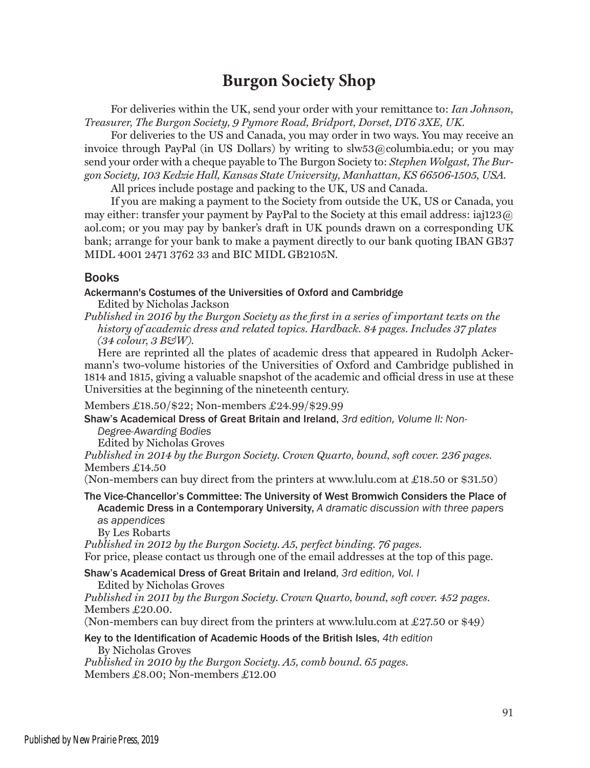## **Burgon Society Shop**

For deliveries within the UK, send your order with your remittance to: *Ian Johnson, Treasurer, The Burgon Society, 9 Pymore Road, Bridport, Dorset, DT6 3XE, UK.*

For deliveries to the US and Canada, you may order in two ways. You may receive an invoice through PayPal (in US Dollars) by writing to slw53@columbia.edu; or you may send your order with a cheque payable to The Burgon Society to: *Stephen Wolgast, The Burgon Society, 103 Kedzie Hall, Kansas State University, Manhattan, KS 66506-1505, USA.* 

All prices include postage and packing to the UK, US and Canada.

If you are making a payment to the Society from outside the UK, US or Canada, you may either: transfer your payment by PayPal to the Society at this email address: iaj123 $@$ aol.com; or you may pay by banker's draft in UK pounds drawn on a corresponding UK bank; arrange for your bank to make a payment directly to our bank quoting IBAN GB37 MIDL 4001 2471 3762 33 and BIC MIDL GB2105N.

#### Books

#### Ackermann's Costumes of the Universities of Oxford and Cambridge

Edited by Nicholas Jackson

*Published in 2016 by the Burgon Society as the first in a series of important texts on the history of academic dress and related topics. Hardback. 84 pages. Includes 37 plates (34 colour, 3 B&W).* 

Here are reprinted all the plates of academic dress that appeared in Rudolph Ackermann's two-volume histories of the Universities of Oxford and Cambridge published in 1814 and 1815, giving a valuable snapshot of the academic and official dress in use at these Universities at the beginning of the nineteenth century.

Members £18.50/\$22; Non-members £24.99/\$29.99

Shaw's Academical Dress of Great Britain and Ireland, *3rd edition, Volume II: Non-*

*Degree-Awarding Bodies* 

Edited by Nicholas Groves

*Published in 2014 by the Burgon Society. Crown Quarto, bound, soft cover. 236 pages.* Members £14.50

(Non-members can buy direct from the printers at www.lulu.com at £18.50 or \$31.50)

The Vice-Chancellor's Committee: The University of West Bromwich Considers the Place of Academic Dress in a Contemporary University, *A dramatic discussion with three papers as appendices*

By Les Robarts

*Published in 2012 by the Burgon Society. A5, perfect binding. 76 pages.* For price, please contact us through one of the email addresses at the top of this page.

Shaw's Academical Dress of Great Britain and Ireland*, 3rd edition, Vol. I*

Edited by Nicholas Groves

*Published in 2011 by the Burgon Society. Crown Quarto, bound, soft cover. 452 pages.* Members £20.00.

(Non-members can buy direct from the printers at www.lulu.com at £27.50 or \$49)

#### Key to the Identification of Academic Hoods of the British Isles, *4th edition*  By Nicholas Groves

*Published in 2010 by the Burgon Society. A5, comb bound. 65 pages.* Members £8.00; Non-members £12.00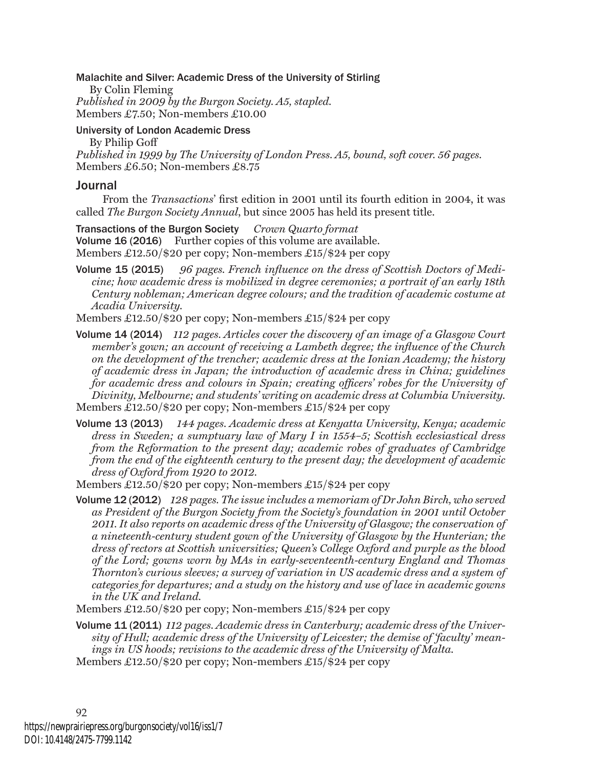#### Malachite and Silver: Academic Dress of the University of Stirling

By Colin Fleming *Published in 2009 by the Burgon Society. A5, stapled.* Members £7.50; Non-members £10.00

#### University of London Academic Dress

By Philip Goff *Published in 1999 by The University of London Press. A5, bound, soft cover. 56 pages.* Members £6.50; Non-members £8.75

#### Journal

From the *Transactions*' first edition in 2001 until its fourth edition in 2004, it was called *The Burgon Society Annual*, but since 2005 has held its present title.

Transactions of the Burgon Society *Crown Quarto format* Volume 16 (2016) Further copies of this volume are available. Members £12.50/\$20 per copy; Non-members £15/\$24 per copy

Volume 15 (2015) *96 pages. French influence on the dress of Scottish Doctors of Medicine; how academic dress is mobilized in degree ceremonies; a portrait of an early 18th Century nobleman; American degree colours; and the tradition of academic costume at Acadia University.*

Members £12.50/\$20 per copy; Non-members £15/\$24 per copy

- Volume 14 (2014) *112 pages. Articles cover the discovery of an image of a Glasgow Court member's gown; an account of receiving a Lambeth degree; the influence of the Church on the development of the trencher; academic dress at the Ionian Academy; the history of academic dress in Japan; the introduction of academic dress in China; guidelines for academic dress and colours in Spain; creating officers' robes for the University of Divinity, Melbourne; and students' writing on academic dress at Columbia University.*  Members £12.50/\$20 per copy; Non-members £15/\$24 per copy
- Volume 13 (2013) *144 pages. Academic dress at Kenyatta University, Kenya; academic dress in Sweden; a sumptuary law of Mary I in 1554–5; Scottish ecclesiastical dress from the Reformation to the present day; academic robes of graduates of Cambridge from the end of the eighteenth century to the present day; the development of academic dress of Oxford from 1920 to 2012.*
- Members £12.50/\$20 per copy; Non-members £15/\$24 per copy
- Volume 12 (2012)*128 pages. The issue includes a memoriam of Dr John Birch, who served as President of the Burgon Society from the Society's foundation in 2001 until October 2011. It also reports on academic dress of the University of Glasgow; the conservation of a nineteenth-century student gown of the University of Glasgow by the Hunterian; the dress of rectors at Scottish universities; Queen's College Oxford and purple as the blood of the Lord; gowns worn by MAs in early-seventeenth-century England and Thomas Thornton's curious sleeves; a survey of variation in US academic dress and a system of categories for departures; and a study on the history and use of lace in academic gowns in the UK and Ireland.*
- Members £12.50/\$20 per copy; Non-members £15/\$24 per copy
- Volume 11 (2011)*112 pages. Academic dress in Canterbury; academic dress of the University of Hull; academic dress of the University of Leicester; the demise of 'faculty' meanings in US hoods; revisions to the academic dress of the University of Malta.* Members £12.50/\$20 per copy; Non-members £15/\$24 per copy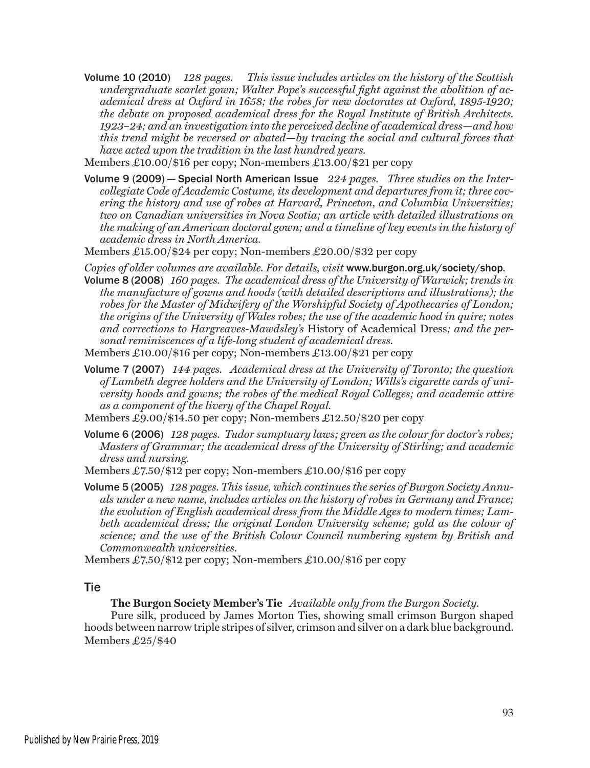- Volume 10 (2010)*128 pages. This issue includes articles on the history of the Scottish undergraduate scarlet gown; Walter Pope's successful fight against the abolition of academical dress at Oxford in 1658; the robes for new doctorates at Oxford, 1895-1920; the debate on proposed academical dress for the Royal Institute of British Architects. 1923*–*24; and an investigation into the perceived decline of academical dress*—*and how this trend might be reversed or abated*—*by tracing the social and cultural forces that have acted upon the tradition in the last hundred years.*
- Members £10.00/\$16 per copy; Non-members £13.00/\$21 per copy
- Volume 9 (2009) Special North American Issue *224 pages. Three studies on the Intercollegiate Code of Academic Costume, its development and departures from it; three covering the history and use of robes at Harvard, Princeton, and Columbia Universities; two on Canadian universities in Nova Scotia; an article with detailed illustrations on the making of an American doctoral gown; and a timeline of key events in the history of academic dress in North America.*
- Members £15.00/\$24 per copy; Non-members £20.00/\$32 per copy
- *Copies of older volumes are available. For details, visit* www.burgon.org.uk/society/shop*.* Volume 8 (2008) *160 pages. The academical dress of the University of Warwick; trends in the manufacture of gowns and hoods (with detailed descriptions and illustrations); the robes for the Master of Midwifery of the Worshipful Society of Apothecaries of London; the origins of the University of Wales robes; the use of the academic hood in quire; notes and corrections to Hargreaves-Mawdsley's* History of Academical Dress*; and the personal reminiscences of a life-long student of academical dress.*
- Members £10.00/\$16 per copy; Non-members £13.00/\$21 per copy
- Volume 7 (2007) *144 pages. Academical dress at the University of Toronto; the question of Lambeth degree holders and the University of London; Wills's cigarette cards of university hoods and gowns; the robes of the medical Royal Colleges; and academic attire as a component of the livery of the Chapel Royal.*
- Members £9.00/\$14.50 per copy; Non-members £12.50/\$20 per copy
- Volume 6 (2006) *128 pages. Tudor sumptuary laws; green as the colour for doctor's robes; Masters of Grammar; the academical dress of the University of Stirling; and academic dress and nursing.*
- Members £7.50/\$12 per copy; Non-members £10.00/\$16 per copy
- Volume 5 (2005) *128 pages. This issue, which continues the series of Burgon Society Annuals under a new name, includes articles on the history of robes in Germany and France; the evolution of English academical dress from the Middle Ages to modern times; Lambeth academical dress; the original London University scheme; gold as the colour of science; and the use of the British Colour Council numbering system by British and Commonwealth universities.*
- Members £7.50/\$12 per copy; Non-members £10.00/\$16 per copy

#### Tie

#### **The Burgon Society Member's Tie** *Available only from the Burgon Society.*

Pure silk, produced by James Morton Ties, showing small crimson Burgon shaped hoods between narrow triple stripes of silver, crimson and silver on a dark blue background. Members £25/\$40